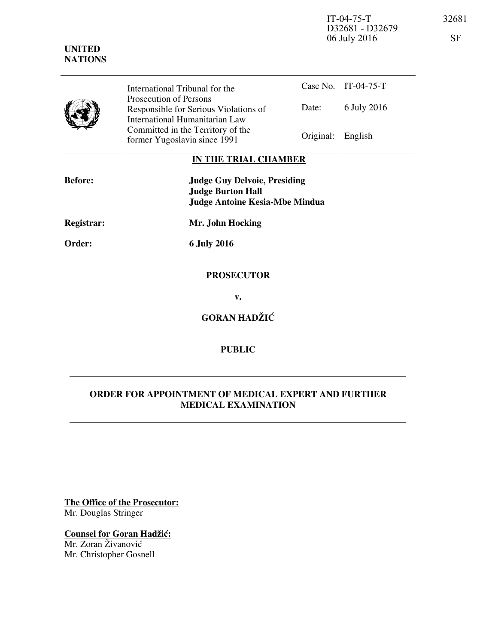IT-04-75-T 32681 D32681 - D32679 06 July 2016 SF



Case No. IT-04-75-T Date: 6 July 2016 International Tribunal for the Prosecution of Persons Responsible for Serious Violations of International Humanitarian Law Committed in the Territory of the Former Yugoslavia since 1991 Original: English

## **IN THE TRIAL CHAMBER**

| <b>Before:</b> | <b>Judge Guy Delvoie, Presiding</b><br><b>Judge Burton Hall</b><br><b>Judge Antoine Kesia-Mbe Mindua</b> |
|----------------|----------------------------------------------------------------------------------------------------------|
| Registrar:     | Mr. John Hocking                                                                                         |
| Order:         | <b>6 July 2016</b>                                                                                       |
|                |                                                                                                          |

# **PROSECUTOR**

**v.** 

## **GORAN HADŽIĆ**

### **PUBLIC**

### **ORDER FOR APPOINTMENT OF MEDICAL EXPERT AND FURTHER MEDICAL EXAMINATION**

**The Office of the Prosecutor:** Mr. Douglas Stringer

#### **Counsel for Goran Hadžić:**

Mr. Zoran Živanović Mr. Christopher Gosnell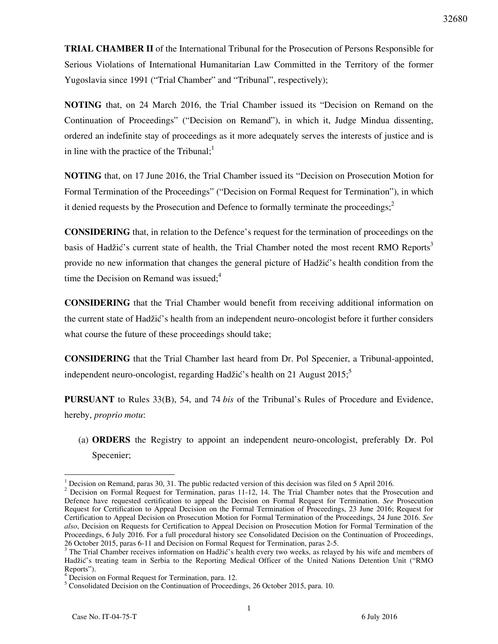**TRIAL CHAMBER II** of the International Tribunal for the Prosecution of Persons Responsible for Serious Violations of International Humanitarian Law Committed in the Territory of the former Yugoslavia since 1991 ("Trial Chamber" and "Tribunal", respectively);

**NOTING** that, on 24 March 2016, the Trial Chamber issued its "Decision on Remand on the Continuation of Proceedings" ("Decision on Remand"), in which it, Judge Mindua dissenting, ordered an indefinite stay of proceedings as it more adequately serves the interests of justice and is in line with the practice of the Tribunal; $<sup>1</sup>$ </sup>

**NOTING** that, on 17 June 2016, the Trial Chamber issued its "Decision on Prosecution Motion for Formal Termination of the Proceedings" ("Decision on Formal Request for Termination"), in which it denied requests by the Prosecution and Defence to formally terminate the proceedings;<sup>2</sup>

**CONSIDERING** that, in relation to the Defence's request for the termination of proceedings on the basis of Hadžić's current state of health, the Trial Chamber noted the most recent RMO Reports<sup>3</sup> provide no new information that changes the general picture of Hadžić's health condition from the time the Decision on Remand was issued; $4$ 

**CONSIDERING** that the Trial Chamber would benefit from receiving additional information on the current state of Hadžić's health from an independent neuro-oncologist before it further considers what course the future of these proceedings should take;

**CONSIDERING** that the Trial Chamber last heard from Dr. Pol Specenier, a Tribunal-appointed, independent neuro-oncologist, regarding Hadžić's health on 21 August 2015;<sup>5</sup>

**PURSUANT** to Rules 33(B), 54, and 74 *bis* of the Tribunal's Rules of Procedure and Evidence, hereby, *proprio motu*:

(a) **ORDERS** the Registry to appoint an independent neuro-oncologist, preferably Dr. Pol Specenier;

 $\overline{a}$ 

<sup>&</sup>lt;sup>1</sup> Decision on Remand, paras 30, 31. The public redacted version of this decision was filed on 5 April 2016.

<sup>&</sup>lt;sup>2</sup> Decision on Formal Request for Termination, paras 11-12, 14. The Trial Chamber notes that the Prosecution and Defence have requested certification to appeal the Decision on Formal Request for Termination. *See* Prosecution Request for Certification to Appeal Decision on the Formal Termination of Proceedings, 23 June 2016; Request for Certification to Appeal Decision on Prosecution Motion for Formal Termination of the Proceedings, 24 June 2016. *See also*, Decision on Requests for Certification to Appeal Decision on Prosecution Motion for Formal Termination of the Proceedings, 6 July 2016. For a full procedural history see Consolidated Decision on the Continuation of Proceedings, 26 October 2015, paras 6-11 and Decision on Formal Request for Termination, paras 2-5.

<sup>&</sup>lt;sup>3</sup> The Trial Chamber receives information on Hadžić's health every two weeks, as relayed by his wife and members of Hadžić's treating team in Serbia to the Reporting Medical Officer of the United Nations Detention Unit ("RMO Reports").

<sup>&</sup>lt;sup>4</sup> Decision on Formal Request for Termination, para. 12.

<sup>&</sup>lt;sup>5</sup> Consolidated Decision on the Continuation of Proceedings, 26 October 2015, para. 10.